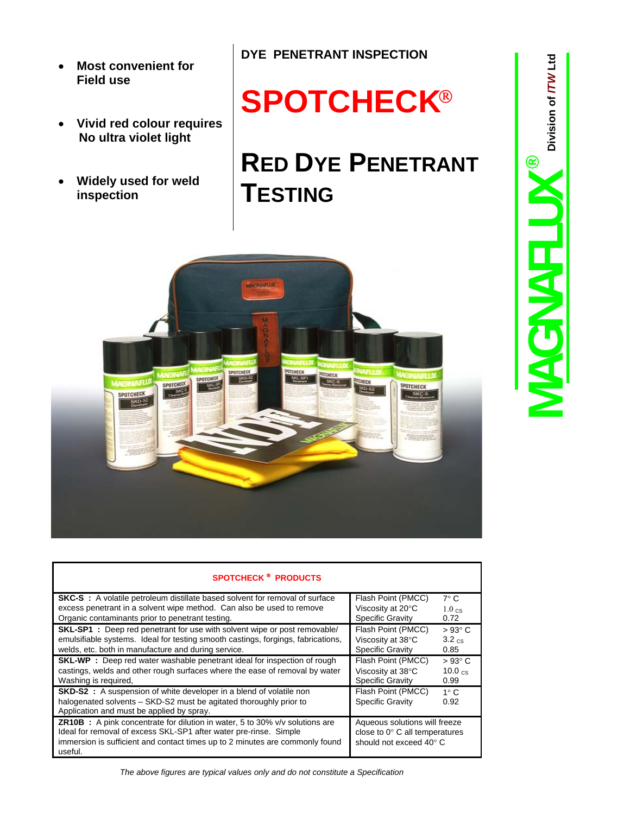- **Most convenient for Field use**
- **Vivid red colour requires No ultra violet light**
- **Widely used for weld inspection**

## **SPOTCHECK**

## **RED DYE PENETRANT TESTING**



| <b>SPOTCHECK ® PRODUCTS</b>                                                           |                                       |                   |
|---------------------------------------------------------------------------------------|---------------------------------------|-------------------|
| <b>SKC-S</b> : A volatile petroleum distillate based solvent for removal of surface   | Flash Point (PMCC)                    | $7^\circ$ C       |
| excess penetrant in a solvent wipe method. Can also be used to remove                 | Viscosity at 20°C                     | $1.0 \text{ cs}$  |
| Organic contaminants prior to penetrant testing.                                      | <b>Specific Gravity</b>               | 0.72              |
| <b>SKL-SP1</b> : Deep red penetrant for use with solvent wipe or post removable/      | Flash Point (PMCC)                    | $>93^{\circ}$ C   |
| emulsifiable systems. Ideal for testing smooth castings, forgings, fabrications,      | Viscosity at 38°C                     | $3.2 \text{ c}$ s |
| welds, etc. both in manufacture and during service.                                   | <b>Specific Gravity</b>               | 0.85              |
| <b>SKL-WP</b> : Deep red water washable penetrant ideal for inspection of rough       | Flash Point (PMCC)                    | $>93^{\circ}$ C   |
| castings, welds and other rough surfaces where the ease of removal by water           | Viscosity at 38°C                     | $10.0 \text{ cs}$ |
| Washing is required,                                                                  | <b>Specific Gravity</b>               | 0.99              |
| <b>SKD-S2</b> : A suspension of white developer in a blend of volatile non            | Flash Point (PMCC)                    | $1^\circ$ C       |
| halogenated solvents - SKD-S2 must be agitated thoroughly prior to                    | <b>Specific Gravity</b>               | 0.92              |
| Application and must be applied by spray.                                             |                                       |                   |
| <b>ZR10B</b> : A pink concentrate for dilution in water, 5 to 30% $v/v$ solutions are | Aqueous solutions will freeze         |                   |
| Ideal for removal of excess SKL-SP1 after water pre-rinse. Simple                     | close to $0^\circ$ C all temperatures |                   |
| immersion is sufficient and contact times up to 2 minutes are commonly found          | should not exceed 40° C               |                   |
| useful.                                                                               |                                       |                   |